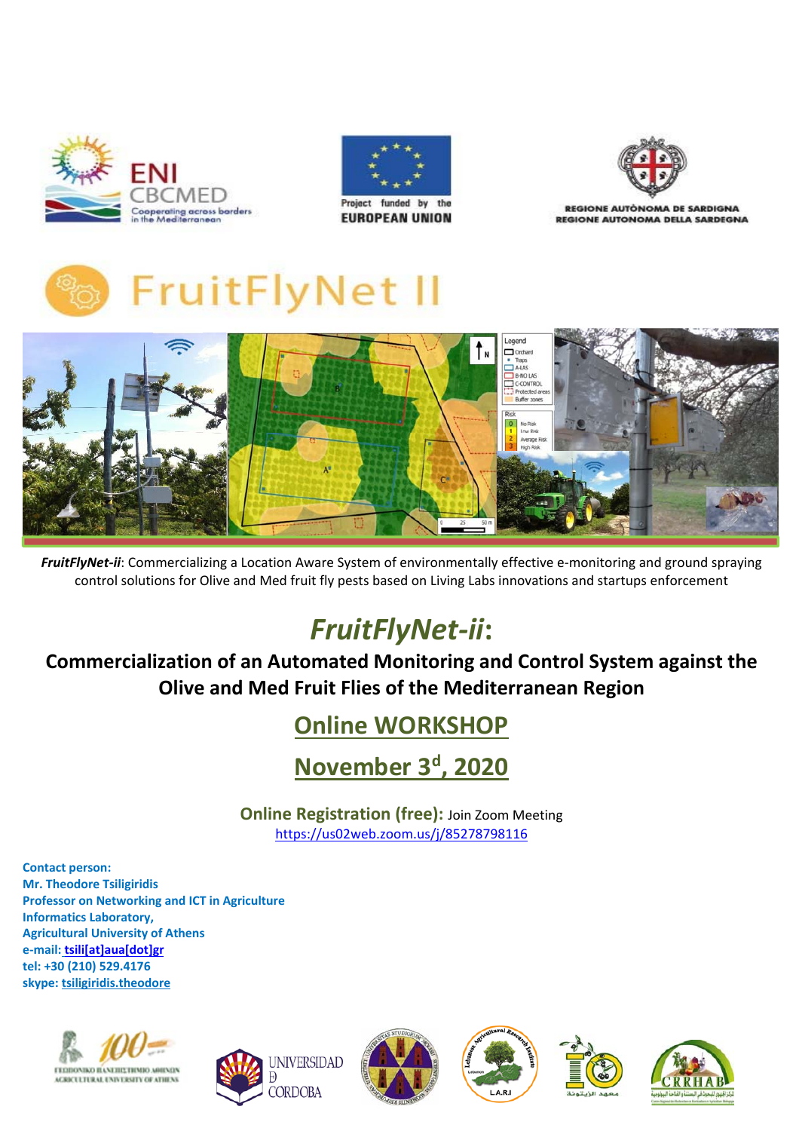





**REGIONE AUTÒNOMA DE SARDIGNA REGIONE AUTONOMA DELLA SARDEGNA** 





FruitFlyNet-ii: Commercializing a Location Aware System of environmentally effective e-monitoring and ground spraying control solutions for Olive and Med fruit fly pests based on Living Labs innovations and startups enforcement

# *FruitFlyNet‐ii***:**

**Commercialization of an Automated Monitoring and Control System against the Olive and Med Fruit Flies of the Mediterranean Region**

# **Online WORKSHOP**

**November 3d, 2020** 

**Online Registration (free):** Join Zoom Meeting https://us02web.zoom.us/j/85278798116

**Contact person: Mr. Theodore Tsiligiridis Professor on Networking and ICT in Agriculture Informatics Laboratory, Agricultural University of Athens e‐mail: tsili[at]aua[dot]gr tel: +30 (210) 529.4176 skype: tsiligiridis.theodore**